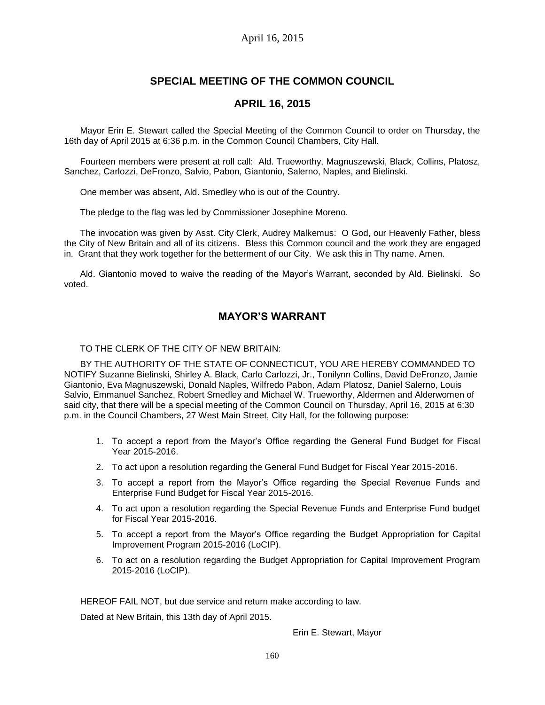# **SPECIAL MEETING OF THE COMMON COUNCIL**

## **APRIL 16, 2015**

Mayor Erin E. Stewart called the Special Meeting of the Common Council to order on Thursday, the 16th day of April 2015 at 6:36 p.m. in the Common Council Chambers, City Hall.

Fourteen members were present at roll call: Ald. Trueworthy, Magnuszewski, Black, Collins, Platosz, Sanchez, Carlozzi, DeFronzo, Salvio, Pabon, Giantonio, Salerno, Naples, and Bielinski.

One member was absent, Ald. Smedley who is out of the Country.

The pledge to the flag was led by Commissioner Josephine Moreno.

The invocation was given by Asst. City Clerk, Audrey Malkemus: O God, our Heavenly Father, bless the City of New Britain and all of its citizens. Bless this Common council and the work they are engaged in. Grant that they work together for the betterment of our City. We ask this in Thy name. Amen.

Ald. Giantonio moved to waive the reading of the Mayor's Warrant, seconded by Ald. Bielinski. So voted.

## **MAYOR'S WARRANT**

TO THE CLERK OF THE CITY OF NEW BRITAIN:

BY THE AUTHORITY OF THE STATE OF CONNECTICUT, YOU ARE HEREBY COMMANDED TO NOTIFY Suzanne Bielinski, Shirley A. Black, Carlo Carlozzi, Jr., Tonilynn Collins, David DeFronzo, Jamie Giantonio, Eva Magnuszewski, Donald Naples, Wilfredo Pabon, Adam Platosz, Daniel Salerno, Louis Salvio, Emmanuel Sanchez, Robert Smedley and Michael W. Trueworthy, Aldermen and Alderwomen of said city, that there will be a special meeting of the Common Council on Thursday, April 16, 2015 at 6:30 p.m. in the Council Chambers, 27 West Main Street, City Hall, for the following purpose:

- 1. To accept a report from the Mayor's Office regarding the General Fund Budget for Fiscal Year 2015-2016.
- 2. To act upon a resolution regarding the General Fund Budget for Fiscal Year 2015-2016.
- 3. To accept a report from the Mayor's Office regarding the Special Revenue Funds and Enterprise Fund Budget for Fiscal Year 2015-2016.
- 4. To act upon a resolution regarding the Special Revenue Funds and Enterprise Fund budget for Fiscal Year 2015-2016.
- 5. To accept a report from the Mayor's Office regarding the Budget Appropriation for Capital Improvement Program 2015-2016 (LoCIP).
- 6. To act on a resolution regarding the Budget Appropriation for Capital Improvement Program 2015-2016 (LoCIP).

HEREOF FAIL NOT, but due service and return make according to law.

Dated at New Britain, this 13th day of April 2015.

Erin E. Stewart, Mayor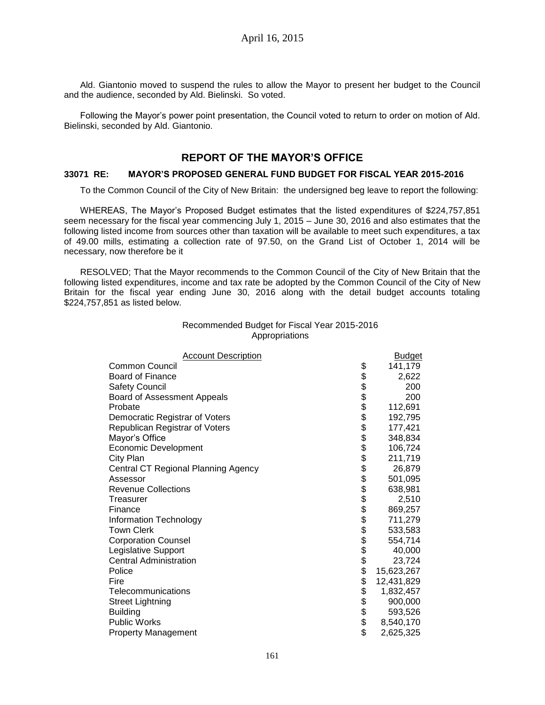Ald. Giantonio moved to suspend the rules to allow the Mayor to present her budget to the Council and the audience, seconded by Ald. Bielinski. So voted.

Following the Mayor's power point presentation, the Council voted to return to order on motion of Ald. Bielinski, seconded by Ald. Giantonio.

# **REPORT OF THE MAYOR'S OFFICE**

#### **33071 RE: MAYOR'S PROPOSED GENERAL FUND BUDGET FOR FISCAL YEAR 2015-2016**

To the Common Council of the City of New Britain: the undersigned beg leave to report the following:

WHEREAS, The Mayor's Proposed Budget estimates that the listed expenditures of \$224,757,851 seem necessary for the fiscal year commencing July 1, 2015 – June 30, 2016 and also estimates that the following listed income from sources other than taxation will be available to meet such expenditures, a tax of 49.00 mills, estimating a collection rate of 97.50, on the Grand List of October 1, 2014 will be necessary, now therefore be it

RESOLVED; That the Mayor recommends to the Common Council of the City of New Britain that the following listed expenditures, income and tax rate be adopted by the Common Council of the City of New Britain for the fiscal year ending June 30, 2016 along with the detail budget accounts totaling \$224,757,851 as listed below.

| <b>Account Description</b>          | <b>Budget</b> |
|-------------------------------------|---------------|
| <b>Common Council</b>               | 141,179       |
| <b>Board of Finance</b>             | 2,622         |
| <b>Safety Council</b>               | 200           |
| Board of Assessment Appeals         | 200           |
| Probate                             | 112,691       |
| Democratic Registrar of Voters      | 192,795       |
| Republican Registrar of Voters      | 177,421       |
| Mayor's Office                      | 348,834       |
| <b>Economic Development</b>         | 106,724       |
| City Plan                           | 211,719       |
| Central CT Regional Planning Agency | 26,879        |
| Assessor                            | 501,095       |
| <b>Revenue Collections</b>          | 638,981       |
| Treasurer                           | 2,510         |
| Finance                             | 869,257       |
| Information Technology              | 711,279       |
| <b>Town Clerk</b>                   | 533,583       |
| <b>Corporation Counsel</b>          | 554,714       |
| Legislative Support                 | 40,000        |
| <b>Central Administration</b>       | 23,724        |
| Police                              | 15,623,267    |
| Fire                                | 12,431,829    |
| Telecommunications                  | 1,832,457     |
| <b>Street Lightning</b>             | 900,000       |
| <b>Building</b>                     | 593,526       |
| <b>Public Works</b>                 | 8,540,170     |
| <b>Property Management</b>          | 2,625,325     |

#### Recommended Budget for Fiscal Year 2015-2016 Appropriations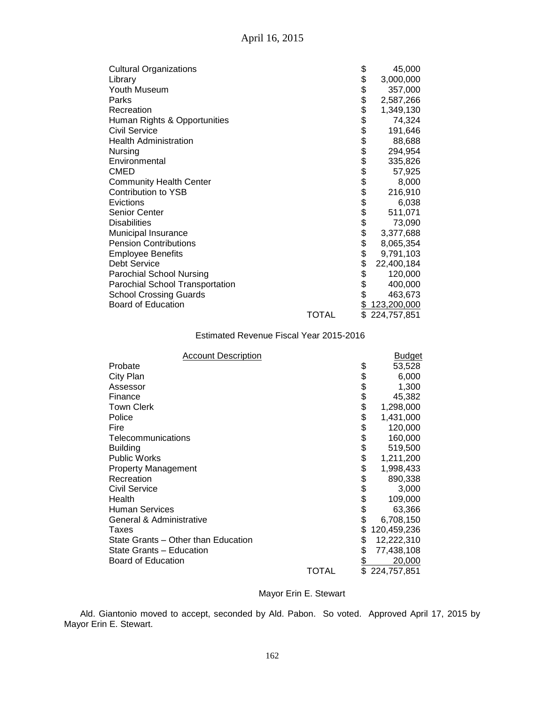| <b>Cultural Organizations</b>   |              |               | 45,000      |
|---------------------------------|--------------|---------------|-------------|
| Library                         |              |               | 3,000,000   |
| Youth Museum                    |              |               | 357,000     |
| Parks                           |              |               | 2,587,266   |
| Recreation                      |              |               | 1,349,130   |
| Human Rights & Opportunities    |              |               | 74,324      |
| <b>Civil Service</b>            |              |               | 191,646     |
| <b>Health Administration</b>    |              |               | 88,688      |
| <b>Nursing</b>                  |              |               | 294,954     |
| Environmental                   |              |               | 335,826     |
| <b>CMED</b>                     |              |               | 57,925      |
| <b>Community Health Center</b>  |              |               | 8,000       |
| Contribution to YSB             |              |               | 216,910     |
| Evictions                       |              |               | 6,038       |
| Senior Center                   |              |               | 511,071     |
| <b>Disabilities</b>             |              |               | 73,090      |
| Municipal Insurance             |              |               | 3,377,688   |
| <b>Pension Contributions</b>    |              |               | 8,065,354   |
| <b>Employee Benefits</b>        |              |               | 9,791,103   |
| <b>Debt Service</b>             |              |               | 22,400,184  |
| <b>Parochial School Nursing</b> |              | \$            | 120,000     |
| Parochial School Transportation |              | \$            | 400,000     |
| <b>School Crossing Guards</b>   |              | \$            | 463,673     |
| Board of Education              |              | $\frac{1}{2}$ | 123,200,000 |
|                                 | <b>TOTAL</b> | \$            | 224,757,851 |

### Estimated Revenue Fiscal Year 2015-2016

| <b>Account Description</b>          |       |        | <b>Budget</b> |
|-------------------------------------|-------|--------|---------------|
| Probate                             |       | \$     | 53,528        |
| City Plan                           |       | \$     | 6,000         |
| Assessor                            |       |        | 1,300         |
| Finance                             |       | \$\$\$ | 45,382        |
| <b>Town Clerk</b>                   |       |        | 1,298,000     |
| Police                              |       |        | 1,431,000     |
| Fire                                |       | \$     | 120,000       |
| Telecommunications                  |       | \$     | 160,000       |
| <b>Building</b>                     |       |        | 519,500       |
| <b>Public Works</b>                 |       | \$\$   | 1,211,200     |
| <b>Property Management</b>          |       |        | 1,998,433     |
| Recreation                          |       | \$     | 890,338       |
| <b>Civil Service</b>                |       | \$     | 3,000         |
| Health                              |       | \$     | 109,000       |
| <b>Human Services</b>               |       | \$     | 63,366        |
| General & Administrative            |       | \$     | 6,708,150     |
| Taxes                               |       | \$     | 120,459,236   |
| State Grants – Other than Education |       | \$     | 12,222,310    |
| State Grants - Education            |       | \$     | 77,438,108    |
| <b>Board of Education</b>           |       | \$     | 20,000        |
|                                     | TOTAL | \$     | 224,757,851   |

### Mayor Erin E. Stewart

Ald. Giantonio moved to accept, seconded by Ald. Pabon. So voted. Approved April 17, 2015 by Mayor Erin E. Stewart.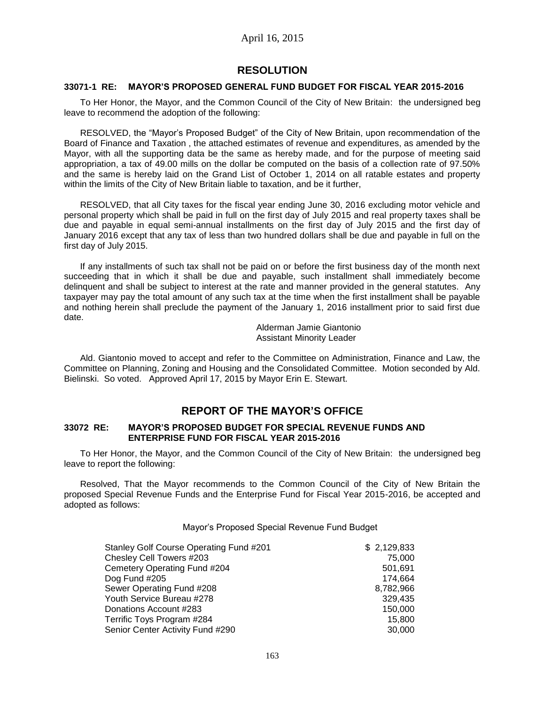## **RESOLUTION**

#### **33071-1 RE: MAYOR'S PROPOSED GENERAL FUND BUDGET FOR FISCAL YEAR 2015-2016**

To Her Honor, the Mayor, and the Common Council of the City of New Britain: the undersigned beg leave to recommend the adoption of the following:

RESOLVED, the "Mayor's Proposed Budget" of the City of New Britain, upon recommendation of the Board of Finance and Taxation , the attached estimates of revenue and expenditures, as amended by the Mayor, with all the supporting data be the same as hereby made, and for the purpose of meeting said appropriation, a tax of 49.00 mills on the dollar be computed on the basis of a collection rate of 97.50% and the same is hereby laid on the Grand List of October 1, 2014 on all ratable estates and property within the limits of the City of New Britain liable to taxation, and be it further,

RESOLVED, that all City taxes for the fiscal year ending June 30, 2016 excluding motor vehicle and personal property which shall be paid in full on the first day of July 2015 and real property taxes shall be due and payable in equal semi-annual installments on the first day of July 2015 and the first day of January 2016 except that any tax of less than two hundred dollars shall be due and payable in full on the first day of July 2015.

If any installments of such tax shall not be paid on or before the first business day of the month next succeeding that in which it shall be due and payable, such installment shall immediately become delinquent and shall be subject to interest at the rate and manner provided in the general statutes. Any taxpayer may pay the total amount of any such tax at the time when the first installment shall be payable and nothing herein shall preclude the payment of the January 1, 2016 installment prior to said first due date.

> Alderman Jamie Giantonio Assistant Minority Leader

Ald. Giantonio moved to accept and refer to the Committee on Administration, Finance and Law, the Committee on Planning, Zoning and Housing and the Consolidated Committee. Motion seconded by Ald. Bielinski. So voted. Approved April 17, 2015 by Mayor Erin E. Stewart.

# **REPORT OF THE MAYOR'S OFFICE**

#### **33072 RE: MAYOR'S PROPOSED BUDGET FOR SPECIAL REVENUE FUNDS AND ENTERPRISE FUND FOR FISCAL YEAR 2015-2016**

To Her Honor, the Mayor, and the Common Council of the City of New Britain: the undersigned beg leave to report the following:

Resolved, That the Mayor recommends to the Common Council of the City of New Britain the proposed Special Revenue Funds and the Enterprise Fund for Fiscal Year 2015-2016, be accepted and adopted as follows:

Mayor's Proposed Special Revenue Fund Budget

| \$2,129,833 |
|-------------|
| 75,000      |
| 501,691     |
| 174,664     |
| 8,782,966   |
| 329,435     |
| 150,000     |
| 15,800      |
| 30,000      |
|             |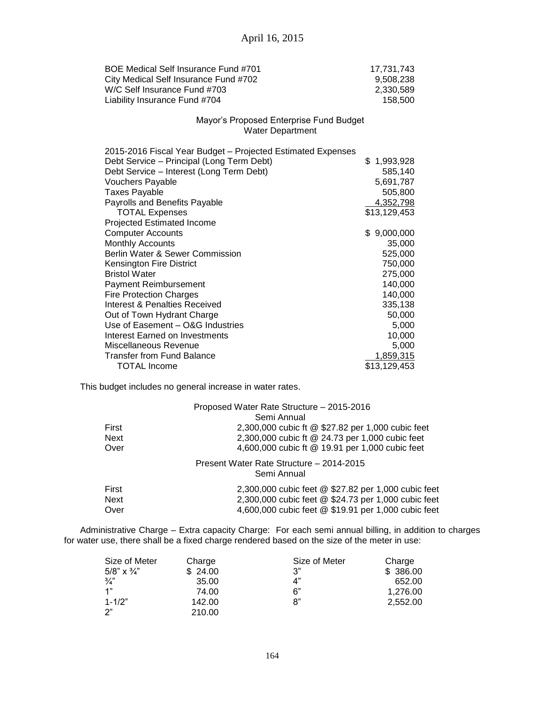| BOE Medical Self Insurance Fund #701  | 17.731.743 |
|---------------------------------------|------------|
| City Medical Self Insurance Fund #702 | 9.508.238  |
| W/C Self Insurance Fund #703          | 2.330.589  |
| Liability Insurance Fund #704         | 158.500    |

### Mayor's Proposed Enterprise Fund Budget Water Department

| 2015-2016 Fiscal Year Budget - Projected Estimated Expenses |                  |
|-------------------------------------------------------------|------------------|
| Debt Service - Principal (Long Term Debt)                   | \$1,993,928      |
| Debt Service - Interest (Long Term Debt)                    | 585,140          |
| Vouchers Payable                                            | 5,691,787        |
| <b>Taxes Payable</b>                                        | 505,800          |
| Payrolls and Benefits Payable                               | 4,352,798        |
| <b>TOTAL Expenses</b>                                       | \$13,129,453     |
| Projected Estimated Income                                  |                  |
| <b>Computer Accounts</b>                                    | 9,000,000<br>\$. |
| <b>Monthly Accounts</b>                                     | 35,000           |
| Berlin Water & Sewer Commission                             | 525,000          |
| Kensington Fire District                                    | 750,000          |
| <b>Bristol Water</b>                                        | 275,000          |
| <b>Payment Reimbursement</b>                                | 140,000          |
| <b>Fire Protection Charges</b>                              | 140,000          |
| Interest & Penalties Received                               | 335,138          |
| Out of Town Hydrant Charge                                  | 50,000           |
| Use of Easement - O&G Industries                            | 5,000            |
| Interest Earned on Investments                              | 10,000           |
| Miscellaneous Revenue                                       | 5,000            |
| <b>Transfer from Fund Balance</b>                           | 1,859,315        |
| <b>TOTAL Income</b>                                         | \$13,129,453     |

This budget includes no general increase in water rates.

|       | Proposed Water Rate Structure - 2015-2016<br>Semi Annual |
|-------|----------------------------------------------------------|
| First | 2,300,000 cubic ft @ \$27.82 per 1,000 cubic feet        |
| Next  | 2,300,000 cubic ft @ 24.73 per 1,000 cubic feet          |
| Over  | 4,600,000 cubic ft @ 19.91 per 1,000 cubic feet          |
|       | Present Water Rate Structure - 2014-2015<br>Semi Annual  |
| First | 2,300,000 cubic feet @ \$27.82 per 1,000 cubic feet      |
| Next  | 2,300,000 cubic feet @ \$24.73 per 1,000 cubic feet      |
| Over  | 4,600,000 cubic feet @ \$19.91 per 1,000 cubic feet      |

Administrative Charge – Extra capacity Charge: For each semi annual billing, in addition to charges for water use, there shall be a fixed charge rendered based on the size of the meter in use:

| Size of Meter      | Charge  | Size of Meter | Charge   |
|--------------------|---------|---------------|----------|
| 5/8" $\times$ 3/4" | \$24.00 | 3"            | \$386.00 |
| $\frac{3}{4}$      | 35.00   | 4"            | 652.00   |
| 1"                 | 74.00   | 6"            | 1.276.00 |
| $1 - 1/2"$         | 142.00  | 8"            | 2.552.00 |
| 2"                 | 210.00  |               |          |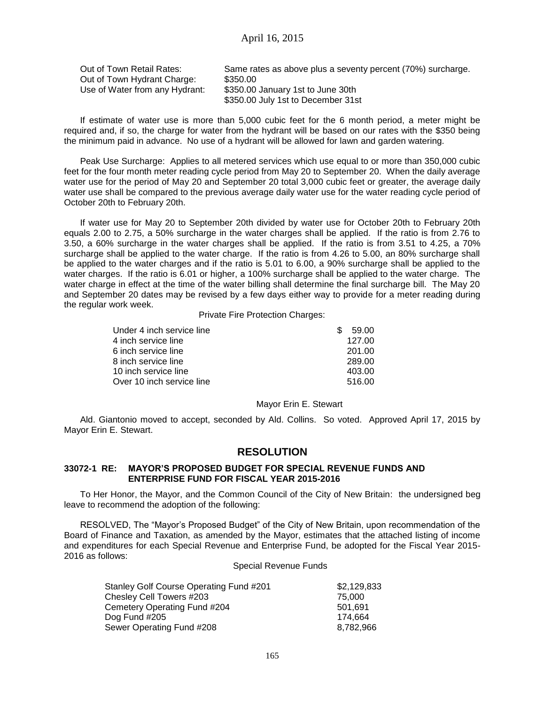| Out of Town Retail Rates:      | Same rates as above plus a seventy percent (70%) surcharge. |
|--------------------------------|-------------------------------------------------------------|
| Out of Town Hydrant Charge:    | \$350.00                                                    |
| Use of Water from any Hydrant: | \$350.00 January 1st to June 30th                           |
|                                | \$350.00 July 1st to December 31st                          |

If estimate of water use is more than 5,000 cubic feet for the 6 month period, a meter might be required and, if so, the charge for water from the hydrant will be based on our rates with the \$350 being the minimum paid in advance. No use of a hydrant will be allowed for lawn and garden watering.

Peak Use Surcharge: Applies to all metered services which use equal to or more than 350,000 cubic feet for the four month meter reading cycle period from May 20 to September 20. When the daily average water use for the period of May 20 and September 20 total 3,000 cubic feet or greater, the average daily water use shall be compared to the previous average daily water use for the water reading cycle period of October 20th to February 20th.

If water use for May 20 to September 20th divided by water use for October 20th to February 20th equals 2.00 to 2.75, a 50% surcharge in the water charges shall be applied. If the ratio is from 2.76 to 3.50, a 60% surcharge in the water charges shall be applied. If the ratio is from 3.51 to 4.25, a 70% surcharge shall be applied to the water charge. If the ratio is from 4.26 to 5.00, an 80% surcharge shall be applied to the water charges and if the ratio is 5.01 to 6.00, a 90% surcharge shall be applied to the water charges. If the ratio is 6.01 or higher, a 100% surcharge shall be applied to the water charge. The water charge in effect at the time of the water billing shall determine the final surcharge bill. The May 20 and September 20 dates may be revised by a few days either way to provide for a meter reading during the regular work week.

Private Fire Protection Charges:

| Under 4 inch service line | \$. | 59.00  |
|---------------------------|-----|--------|
| 4 inch service line       |     | 127.00 |
| 6 inch service line       |     | 201.00 |
| 8 inch service line       |     | 289.00 |
| 10 inch service line      |     | 403.00 |
| Over 10 inch service line |     | 516.00 |

Mayor Erin E. Stewart

Ald. Giantonio moved to accept, seconded by Ald. Collins. So voted. Approved April 17, 2015 by Mayor Erin E. Stewart.

## **RESOLUTION**

### **33072-1 RE: MAYOR'S PROPOSED BUDGET FOR SPECIAL REVENUE FUNDS AND ENTERPRISE FUND FOR FISCAL YEAR 2015-2016**

To Her Honor, the Mayor, and the Common Council of the City of New Britain: the undersigned beg leave to recommend the adoption of the following:

RESOLVED, The "Mayor's Proposed Budget" of the City of New Britain, upon recommendation of the Board of Finance and Taxation, as amended by the Mayor, estimates that the attached listing of income and expenditures for each Special Revenue and Enterprise Fund, be adopted for the Fiscal Year 2015- 2016 as follows:

Special Revenue Funds

| Stanley Golf Course Operating Fund #201 | \$2,129,833 |
|-----------------------------------------|-------------|
| Chesley Cell Towers #203                | 75.000      |
| Cemetery Operating Fund #204            | 501.691     |
| Dog Fund #205                           | 174.664     |
| Sewer Operating Fund #208               | 8.782.966   |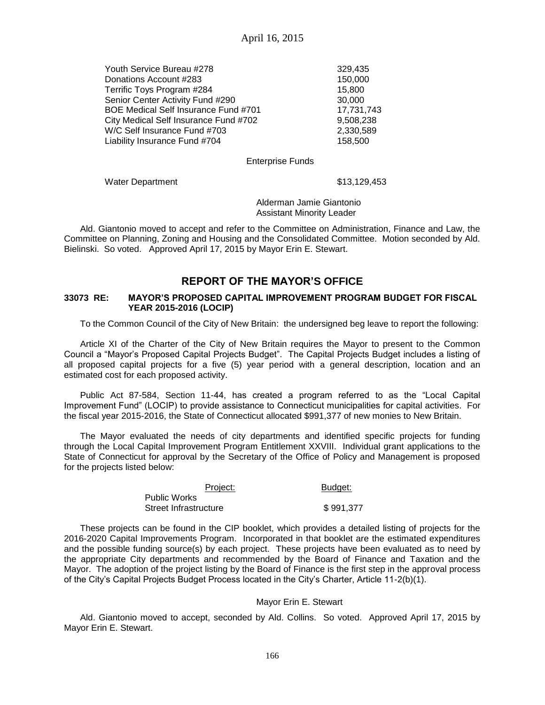| Youth Service Bureau #278             | 329,435    |
|---------------------------------------|------------|
| Donations Account #283                | 150,000    |
| Terrific Toys Program #284            | 15,800     |
| Senior Center Activity Fund #290      | 30,000     |
| BOE Medical Self Insurance Fund #701  | 17,731,743 |
| City Medical Self Insurance Fund #702 | 9,508,238  |
| W/C Self Insurance Fund #703          | 2,330,589  |
| Liability Insurance Fund #704         | 158,500    |
|                                       |            |

#### Enterprise Funds

Water Department \$13,129,453

Alderman Jamie Giantonio Assistant Minority Leader

Ald. Giantonio moved to accept and refer to the Committee on Administration, Finance and Law, the Committee on Planning, Zoning and Housing and the Consolidated Committee. Motion seconded by Ald. Bielinski. So voted. Approved April 17, 2015 by Mayor Erin E. Stewart.

## **REPORT OF THE MAYOR'S OFFICE**

### **33073 RE: MAYOR'S PROPOSED CAPITAL IMPROVEMENT PROGRAM BUDGET FOR FISCAL YEAR 2015-2016 (LOCIP)**

To the Common Council of the City of New Britain: the undersigned beg leave to report the following:

Article XI of the Charter of the City of New Britain requires the Mayor to present to the Common Council a "Mayor's Proposed Capital Projects Budget". The Capital Projects Budget includes a listing of all proposed capital projects for a five (5) year period with a general description, location and an estimated cost for each proposed activity.

Public Act 87-584, Section 11-44, has created a program referred to as the "Local Capital Improvement Fund" (LOCIP) to provide assistance to Connecticut municipalities for capital activities. For the fiscal year 2015-2016, the State of Connecticut allocated \$991,377 of new monies to New Britain.

The Mayor evaluated the needs of city departments and identified specific projects for funding through the Local Capital Improvement Program Entitlement XXVIII. Individual grant applications to the State of Connecticut for approval by the Secretary of the Office of Policy and Management is proposed for the projects listed below:

| Project:              | Budget:   |
|-----------------------|-----------|
| Public Works          |           |
| Street Infrastructure | \$991,377 |

These projects can be found in the CIP booklet, which provides a detailed listing of projects for the 2016-2020 Capital Improvements Program. Incorporated in that booklet are the estimated expenditures and the possible funding source(s) by each project. These projects have been evaluated as to need by the appropriate City departments and recommended by the Board of Finance and Taxation and the Mayor. The adoption of the project listing by the Board of Finance is the first step in the approval process of the City's Capital Projects Budget Process located in the City's Charter, Article 11-2(b)(1).

### Mayor Erin E. Stewart

Ald. Giantonio moved to accept, seconded by Ald. Collins. So voted. Approved April 17, 2015 by Mayor Erin E. Stewart.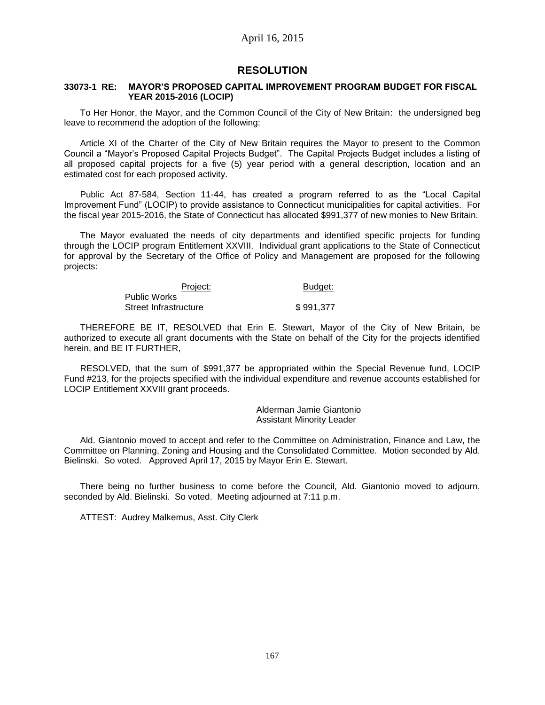### **RESOLUTION**

#### **33073-1 RE: MAYOR'S PROPOSED CAPITAL IMPROVEMENT PROGRAM BUDGET FOR FISCAL YEAR 2015-2016 (LOCIP)**

To Her Honor, the Mayor, and the Common Council of the City of New Britain: the undersigned beg leave to recommend the adoption of the following:

Article XI of the Charter of the City of New Britain requires the Mayor to present to the Common Council a "Mayor's Proposed Capital Projects Budget". The Capital Projects Budget includes a listing of all proposed capital projects for a five (5) year period with a general description, location and an estimated cost for each proposed activity.

Public Act 87-584, Section 11-44, has created a program referred to as the "Local Capital Improvement Fund" (LOCIP) to provide assistance to Connecticut municipalities for capital activities. For the fiscal year 2015-2016, the State of Connecticut has allocated \$991,377 of new monies to New Britain.

The Mayor evaluated the needs of city departments and identified specific projects for funding through the LOCIP program Entitlement XXVIII. Individual grant applications to the State of Connecticut for approval by the Secretary of the Office of Policy and Management are proposed for the following projects:

| Project:              | Budget:   |
|-----------------------|-----------|
| Public Works          |           |
| Street Infrastructure | \$991,377 |

THEREFORE BE IT, RESOLVED that Erin E. Stewart, Mayor of the City of New Britain, be authorized to execute all grant documents with the State on behalf of the City for the projects identified herein, and BE IT FURTHER,

RESOLVED, that the sum of \$991,377 be appropriated within the Special Revenue fund, LOCIP Fund #213, for the projects specified with the individual expenditure and revenue accounts established for LOCIP Entitlement XXVIII grant proceeds.

> Alderman Jamie Giantonio Assistant Minority Leader

Ald. Giantonio moved to accept and refer to the Committee on Administration, Finance and Law, the Committee on Planning, Zoning and Housing and the Consolidated Committee. Motion seconded by Ald. Bielinski. So voted. Approved April 17, 2015 by Mayor Erin E. Stewart.

There being no further business to come before the Council, Ald. Giantonio moved to adjourn, seconded by Ald. Bielinski. So voted. Meeting adjourned at 7:11 p.m.

ATTEST: Audrey Malkemus, Asst. City Clerk